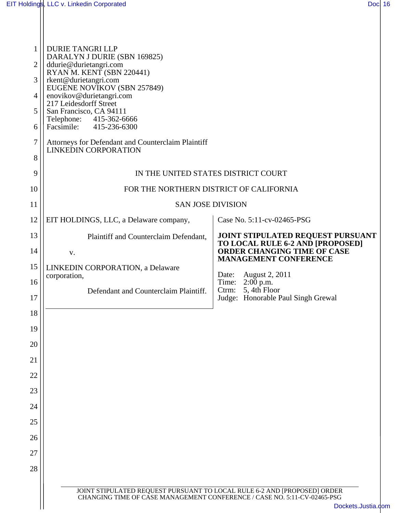Ш

| $\mathbf{1}$<br>$\overline{2}$<br>3<br>4<br>5<br>6<br>$\overline{7}$<br>8<br>9<br>10 | <b>DURIE TANGRI LLP</b><br>DARALYN J DURIE (SBN 169825)<br>ddurie@durietangri.com<br>RYAN M. KENT (SBN 220441)<br>rkent@durietangri.com<br>EUGENE NOVIKOV (SBN 257849)<br>enovikov@durietangri.com<br>217 Leidesdorff Street<br>San Francisco, CA 94111<br>Telephone: 415-362-6666<br>Facsimile:<br>415-236-6300<br>Attorneys for Defendant and Counterclaim Plaintiff<br><b>LINKEDIN CORPORATION</b><br>IN THE UNITED STATES DISTRICT COURT<br>FOR THE NORTHERN DISTRICT OF CALIFORNIA |                                                                        |  |  |
|--------------------------------------------------------------------------------------|-----------------------------------------------------------------------------------------------------------------------------------------------------------------------------------------------------------------------------------------------------------------------------------------------------------------------------------------------------------------------------------------------------------------------------------------------------------------------------------------|------------------------------------------------------------------------|--|--|
| 11                                                                                   | <b>SAN JOSE DIVISION</b>                                                                                                                                                                                                                                                                                                                                                                                                                                                                |                                                                        |  |  |
| 12                                                                                   | EIT HOLDINGS, LLC, a Delaware company,                                                                                                                                                                                                                                                                                                                                                                                                                                                  | Case No. 5:11-cv-02465-PSG                                             |  |  |
| 13                                                                                   | Plaintiff and Counterclaim Defendant,                                                                                                                                                                                                                                                                                                                                                                                                                                                   | JOINT STIPULATED REQUEST PURSUANT                                      |  |  |
| 14                                                                                   | V.                                                                                                                                                                                                                                                                                                                                                                                                                                                                                      | TO LOCAL RULE 6-2 AND [PROPOSED]<br><b>ORDER CHANGING TIME OF CASE</b> |  |  |
| 15                                                                                   | LINKEDIN CORPORATION, a Delaware                                                                                                                                                                                                                                                                                                                                                                                                                                                        | <b>MANAGEMENT CONFERENCE</b>                                           |  |  |
| 16                                                                                   | corporation,                                                                                                                                                                                                                                                                                                                                                                                                                                                                            | August 2, 2011<br>Date:<br>Time: 2:00 p.m.                             |  |  |
| 17                                                                                   | Defendant and Counterclaim Plaintiff.                                                                                                                                                                                                                                                                                                                                                                                                                                                   | Ctrm: 5, 4th Floor<br>Judge: Honorable Paul Singh Grewal               |  |  |
| 18                                                                                   |                                                                                                                                                                                                                                                                                                                                                                                                                                                                                         |                                                                        |  |  |
| 19                                                                                   |                                                                                                                                                                                                                                                                                                                                                                                                                                                                                         |                                                                        |  |  |
| 20                                                                                   |                                                                                                                                                                                                                                                                                                                                                                                                                                                                                         |                                                                        |  |  |
| 21                                                                                   |                                                                                                                                                                                                                                                                                                                                                                                                                                                                                         |                                                                        |  |  |
| 22                                                                                   |                                                                                                                                                                                                                                                                                                                                                                                                                                                                                         |                                                                        |  |  |
| 23                                                                                   |                                                                                                                                                                                                                                                                                                                                                                                                                                                                                         |                                                                        |  |  |
| 24                                                                                   |                                                                                                                                                                                                                                                                                                                                                                                                                                                                                         |                                                                        |  |  |
| 25                                                                                   |                                                                                                                                                                                                                                                                                                                                                                                                                                                                                         |                                                                        |  |  |
| 26                                                                                   |                                                                                                                                                                                                                                                                                                                                                                                                                                                                                         |                                                                        |  |  |
| 27                                                                                   |                                                                                                                                                                                                                                                                                                                                                                                                                                                                                         |                                                                        |  |  |
| 28                                                                                   |                                                                                                                                                                                                                                                                                                                                                                                                                                                                                         |                                                                        |  |  |
|                                                                                      | JOINT STIPULATED REQUEST PURSUANT TO LOCAL RULE 6-2 AND [PROPOSED] ORDER CHANGING TIME OF CASE MANAGEMENT CONFERENCE / CASE NO. 5:11-CV-02465-PSG<br>Dockets.Justia.com                                                                                                                                                                                                                                                                                                                 |                                                                        |  |  |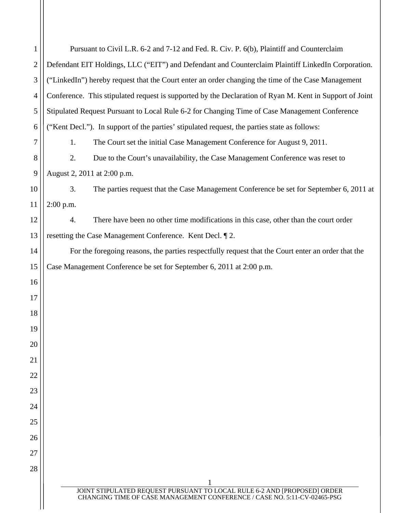| $\mathbf{1}$   | Pursuant to Civil L.R. 6-2 and 7-12 and Fed. R. Civ. P. 6(b), Plaintiff and Counterclaim                                                             |  |  |
|----------------|------------------------------------------------------------------------------------------------------------------------------------------------------|--|--|
| $\mathbf{2}$   | Defendant EIT Holdings, LLC ("EIT") and Defendant and Counterclaim Plaintiff LinkedIn Corporation.                                                   |  |  |
| 3              | ("LinkedIn") hereby request that the Court enter an order changing the time of the Case Management                                                   |  |  |
| $\overline{4}$ | Conference. This stipulated request is supported by the Declaration of Ryan M. Kent in Support of Joint                                              |  |  |
| 5              | Stipulated Request Pursuant to Local Rule 6-2 for Changing Time of Case Management Conference                                                        |  |  |
| 6              | ("Kent Decl."). In support of the parties' stipulated request, the parties state as follows:                                                         |  |  |
| 7              | The Court set the initial Case Management Conference for August 9, 2011.<br>1.                                                                       |  |  |
| 8              | 2.<br>Due to the Court's unavailability, the Case Management Conference was reset to                                                                 |  |  |
| 9              | August 2, 2011 at 2:00 p.m.                                                                                                                          |  |  |
| 10             | 3.<br>The parties request that the Case Management Conference be set for September 6, 2011 at                                                        |  |  |
| 11             | $2:00$ p.m.                                                                                                                                          |  |  |
| 12             | There have been no other time modifications in this case, other than the court order<br>4.                                                           |  |  |
| 13             | resetting the Case Management Conference. Kent Decl. 12.                                                                                             |  |  |
| 14             | For the foregoing reasons, the parties respectfully request that the Court enter an order that the                                                   |  |  |
| 15             | Case Management Conference be set for September 6, 2011 at 2:00 p.m.                                                                                 |  |  |
| 16             |                                                                                                                                                      |  |  |
| 17             |                                                                                                                                                      |  |  |
| 18             |                                                                                                                                                      |  |  |
| 19             |                                                                                                                                                      |  |  |
| 20             |                                                                                                                                                      |  |  |
| 21             |                                                                                                                                                      |  |  |
| 22             |                                                                                                                                                      |  |  |
| 23             |                                                                                                                                                      |  |  |
| 24             |                                                                                                                                                      |  |  |
| 25             |                                                                                                                                                      |  |  |
| 26             |                                                                                                                                                      |  |  |
| 27             |                                                                                                                                                      |  |  |
| 28             |                                                                                                                                                      |  |  |
|                | JOINT STIPULATED REQUEST PURSUANT TO LOCAL RULE 6-2 AND [PROPOSED] ORDER<br>CHANGING TIME OF CASE MANAGEMENT CONFERENCE / CASE NO. 5:11-CV-02465-PSG |  |  |
|                |                                                                                                                                                      |  |  |